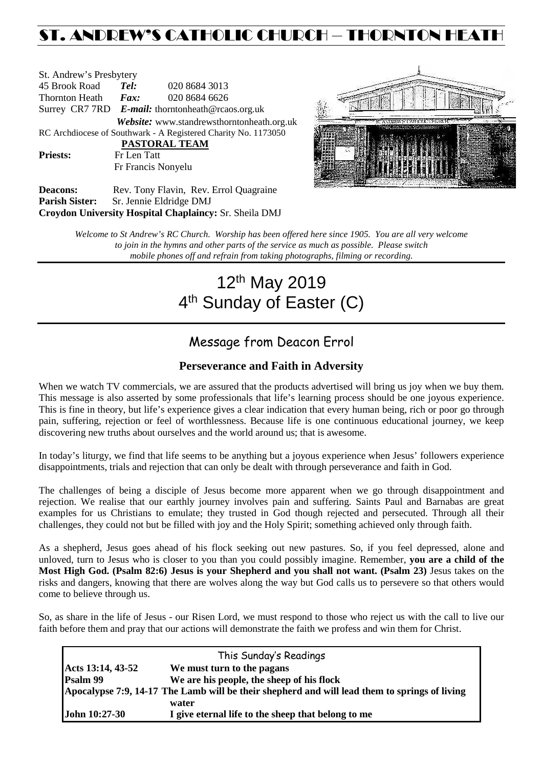# ST. ANDREW'S CATHOLIC CHURCH – THORNTON HEATH

St. Andrew's Presbytery<br>45 Brook Road Tel: 45 Brook Road *Tel:* 020 8684 3013 Thornton Heath *Fax:* 020 8684 6626 Surrey CR7 7RD *E-mail:* [thorntonheath@rcaos.org.uk](mailto:thorntonheath@rcaos.org.uk) *Website:* www.standrewsthorntonheath.org.uk RC Archdiocese of Southwark - A Registered Charity No. 1173050  **PASTORAL TEAM** Priests: Fr Len Tatt Fr Francis Nonyelu



**Deacons:** Rev. Tony Flavin, Rev. Errol Quagraine<br> **Parish Sister:** Sr. Jennie Eldridge DMJ **Parish Sister:** Sr. Jennie Eldridge DMJ **Croydon University Hospital Chaplaincy:** Sr. Sheila DMJ

> *Welcome to St Andrew's RC Church. Worship has been offered here since 1905. You are all very welcome to join in the hymns and other parts of the service as much as possible. Please switch mobile phones off and refrain from taking photographs, filming or recording.*

# 12th May 2019 4<sup>th</sup> Sunday of Easter (C)

## Message from Deacon Errol

### **Perseverance and Faith in Adversity**

When we watch TV commercials, we are assured that the products advertised will bring us joy when we buy them. This message is also asserted by some professionals that life's learning process should be one joyous experience. This is fine in theory, but life's experience gives a clear indication that every human being, rich or poor go through pain, suffering, rejection or feel of worthlessness. Because life is one continuous educational journey, we keep discovering new truths about ourselves and the world around us; that is awesome.

In today's liturgy, we find that life seems to be anything but a joyous experience when Jesus' followers experience disappointments, trials and rejection that can only be dealt with through perseverance and faith in God.

The challenges of being a disciple of Jesus become more apparent when we go through disappointment and rejection. We realise that our earthly journey involves pain and suffering. Saints Paul and Barnabas are great examples for us Christians to emulate; they trusted in God though rejected and persecuted. Through all their challenges, they could not but be filled with joy and the Holy Spirit; something achieved only through faith.

As a shepherd, Jesus goes ahead of his flock seeking out new pastures. So, if you feel depressed, alone and unloved, turn to Jesus who is closer to you than you could possibly imagine. Remember, **you are a child of the Most High God. (Psalm 82:6) Jesus is your Shepherd and you shall not want. (Psalm 23)** Jesus takes on the risks and dangers, knowing that there are wolves along the way but God calls us to persevere so that others would come to believe through us.

So, as share in the life of Jesus - our Risen Lord, we must respond to those who reject us with the call to live our faith before them and pray that our actions will demonstrate the faith we profess and win them for Christ.

| This Sunday's Readings                                                                        |                                                    |  |  |  |
|-----------------------------------------------------------------------------------------------|----------------------------------------------------|--|--|--|
| Acts 13:14, 43-52                                                                             | We must turn to the pagans                         |  |  |  |
| Psalm 99                                                                                      | We are his people, the sheep of his flock          |  |  |  |
| Apocalypse 7:9, 14-17 The Lamb will be their shepherd and will lead them to springs of living |                                                    |  |  |  |
|                                                                                               | water                                              |  |  |  |
| John 10:27-30                                                                                 | I give eternal life to the sheep that belong to me |  |  |  |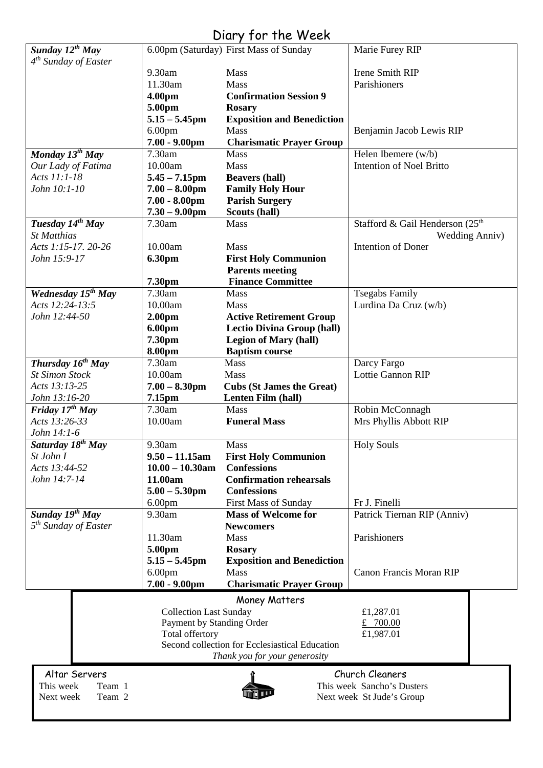## Diary for the Week

| Sunday 12 <sup>th</sup> May                  |                               | 6.00pm (Saturday) First Mass of Sunday         | Marie Furey RIP                             |  |  |
|----------------------------------------------|-------------------------------|------------------------------------------------|---------------------------------------------|--|--|
| 4 <sup>th</sup> Sunday of Easter             |                               |                                                |                                             |  |  |
|                                              | 9.30am                        | Mass                                           | Irene Smith RIP                             |  |  |
|                                              | 11.30am                       | Mass                                           | Parishioners                                |  |  |
|                                              | 4.00pm                        | <b>Confirmation Session 9</b>                  |                                             |  |  |
|                                              | 5.00pm                        | <b>Rosary</b>                                  |                                             |  |  |
|                                              | $5.15 - 5.45$ pm              | <b>Exposition and Benediction</b>              |                                             |  |  |
|                                              | 6.00 <sub>pm</sub>            | <b>Mass</b>                                    | Benjamin Jacob Lewis RIP                    |  |  |
|                                              | $7.00 - 9.00$ pm              | <b>Charismatic Prayer Group</b>                |                                             |  |  |
| Monday $13^{th}$ May                         | 7.30am                        | <b>Mass</b>                                    | Helen Ibemere (w/b)                         |  |  |
| Our Lady of Fatima                           | 10.00am                       | Mass                                           | <b>Intention of Noel Britto</b>             |  |  |
| Acts 11:1-18                                 | $5.45 - 7.15$ pm              | <b>Beavers (hall)</b>                          |                                             |  |  |
| John 10:1-10                                 | $7.00 - 8.00$ pm              | <b>Family Holy Hour</b>                        |                                             |  |  |
|                                              | $7.00 - 8.00$ pm              | <b>Parish Surgery</b><br>Scouts (hall)         |                                             |  |  |
| Tuesday 14th May                             | $7.30 - 9.00$ pm<br>7.30am    | Mass                                           | Stafford & Gail Henderson (25 <sup>th</sup> |  |  |
| <b>St Matthias</b>                           |                               |                                                | <b>Wedding Anniv)</b>                       |  |  |
| Acts 1:15-17. 20-26                          | 10.00am                       | Mass                                           | <b>Intention of Doner</b>                   |  |  |
| John 15:9-17                                 | <b>6.30pm</b>                 | <b>First Holy Communion</b>                    |                                             |  |  |
|                                              |                               | <b>Parents meeting</b>                         |                                             |  |  |
|                                              | 7.30pm                        | <b>Finance Committee</b>                       |                                             |  |  |
| Wednesday 15 <sup>th</sup> May               | 7.30am                        | <b>Mass</b>                                    | <b>Tsegabs Family</b>                       |  |  |
| Acts 12:24-13:5                              | 10.00am                       | Mass                                           | Lurdina Da Cruz (w/b)                       |  |  |
| John 12:44-50                                | 2.00 <sub>pm</sub>            | <b>Active Retirement Group</b>                 |                                             |  |  |
|                                              | 6.00pm                        | <b>Lectio Divina Group (hall)</b>              |                                             |  |  |
|                                              | 7.30pm                        | <b>Legion of Mary (hall)</b>                   |                                             |  |  |
|                                              | 8.00pm                        | <b>Baptism course</b>                          |                                             |  |  |
| Thursday $1\overline{6^{th}$ May             | 7.30am                        | <b>Mass</b>                                    | Darcy Fargo                                 |  |  |
| <b>St Simon Stock</b>                        | 10.00am                       | Mass                                           | Lottie Gannon RIP                           |  |  |
| Acts 13:13-25                                | $7.00 - 8.30$ pm              | <b>Cubs (St James the Great)</b>               |                                             |  |  |
| John 13:16-20                                | 7.15pm                        | <b>Lenten Film (hall)</b>                      |                                             |  |  |
| <b>Friday 17th May</b>                       | 7.30am                        | Mass                                           | Robin McConnagh                             |  |  |
| Acts 13:26-33                                | 10.00am                       | <b>Funeral Mass</b>                            | Mrs Phyllis Abbott RIP                      |  |  |
| John 14:1-6<br>Saturday 18 <sup>th</sup> May | 9.30am                        | Mass                                           | <b>Holy Souls</b>                           |  |  |
| St John I                                    | $9.50 - 11.15$ am             | <b>First Holy Communion</b>                    |                                             |  |  |
| Acts 13:44-52                                | $10.00 - 10.30$ am            | <b>Confessions</b>                             |                                             |  |  |
| John 14:7-14                                 | 11.00am                       | <b>Confirmation rehearsals</b>                 |                                             |  |  |
|                                              | $5.00 - 5.30$ pm              | <b>Confessions</b>                             |                                             |  |  |
|                                              | 6.00 <sub>pm</sub>            | <b>First Mass of Sunday</b>                    | Fr J. Finelli                               |  |  |
| Sunday 19th May                              | 9.30am                        | <b>Mass of Welcome for</b>                     | Patrick Tiernan RIP (Anniv)                 |  |  |
| $5th$ Sunday of Easter                       |                               | <b>Newcomers</b>                               |                                             |  |  |
|                                              | 11.30am                       | Mass                                           | Parishioners                                |  |  |
|                                              | 5.00pm                        | <b>Rosary</b>                                  |                                             |  |  |
|                                              | $5.15 - 5.45$ pm              | <b>Exposition and Benediction</b>              |                                             |  |  |
|                                              | 6.00 <sub>pm</sub>            | Mass                                           | <b>Canon Francis Moran RIP</b>              |  |  |
|                                              | $7.00 - 9.00$ pm              | <b>Charismatic Prayer Group</b>                |                                             |  |  |
|                                              |                               | Money Matters                                  |                                             |  |  |
|                                              | <b>Collection Last Sunday</b> |                                                | £1,287.01                                   |  |  |
|                                              | Payment by Standing Order     |                                                | £ 700.00                                    |  |  |
|                                              | Total offertory<br>£1,987.01  |                                                |                                             |  |  |
|                                              |                               | Second collection for Ecclesiastical Education |                                             |  |  |
|                                              |                               | Thank you for your generosity                  |                                             |  |  |
| Altar Servers                                | Church Cleaners               |                                                |                                             |  |  |
| This week<br>Team 1                          |                               | This week Sancho's Dusters                     |                                             |  |  |
| Next week<br>Team 2                          | Next week St Jude's Group     |                                                |                                             |  |  |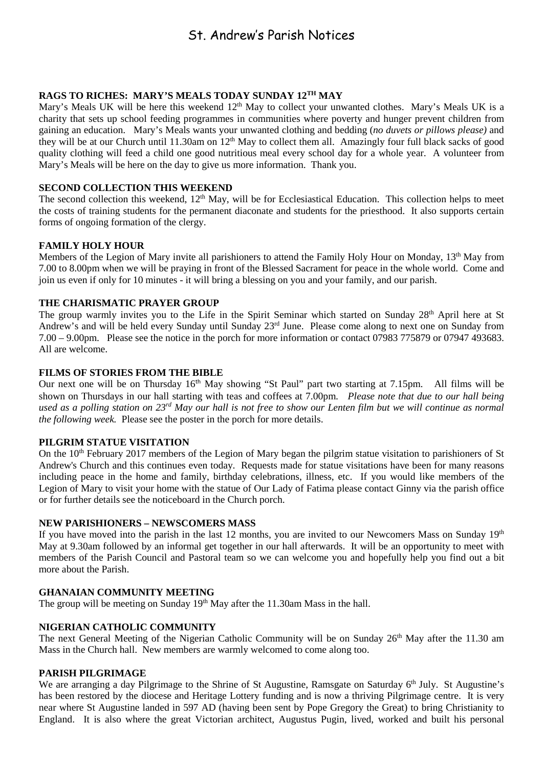### St. Andrew's Parish Notices

#### **RAGS TO RICHES: MARY'S MEALS TODAY SUNDAY 12TH MAY**

Mary's Meals UK will be here this weekend 12<sup>th</sup> May to collect your unwanted clothes. Mary's Meals UK is a charity that sets up school feeding programmes in communities where poverty and hunger prevent children from gaining an education. Mary's Meals wants your unwanted clothing and bedding (*no duvets or pillows please)* and they will be at our Church until 11.30am on  $12<sup>th</sup>$  May to collect them all. Amazingly four full black sacks of good quality clothing will feed a child one good nutritious meal every school day for a whole year. A volunteer from Mary's Meals will be here on the day to give us more information. Thank you.

#### **SECOND COLLECTION THIS WEEKEND**

The second collection this weekend,  $12<sup>th</sup>$  May, will be for Ecclesiastical Education. This collection helps to meet the costs of training students for the permanent diaconate and students for the priesthood. It also supports certain forms of ongoing formation of the clergy.

#### **FAMILY HOLY HOUR**

Members of the Legion of Mary invite all parishioners to attend the Family Holy Hour on Monday, 13<sup>th</sup> May from 7.00 to 8.00pm when we will be praying in front of the Blessed Sacrament for peace in the whole world. Come and join us even if only for 10 minutes - it will bring a blessing on you and your family, and our parish.

#### **THE CHARISMATIC PRAYER GROUP**

The group warmly invites you to the Life in the Spirit Seminar which started on Sunday 28<sup>th</sup> April here at St Andrew's and will be held every Sunday until Sunday 23rd June. Please come along to next one on Sunday from 7.00 – 9.00pm. Please see the notice in the porch for more information or contact 07983 775879 or 07947 493683. All are welcome.

#### **FILMS OF STORIES FROM THE BIBLE**

Our next one will be on Thursday 16<sup>th</sup> May showing "St Paul" part two starting at 7.15pm. All films will be shown on Thursdays in our hall starting with teas and coffees at 7.00pm. *Please note that due to our hall being used as a polling station on 23rd May our hall is not free to show our Lenten film but we will continue as normal the following week.* Please see the poster in the porch for more details.

#### **PILGRIM STATUE VISITATION**

On the 10<sup>th</sup> February 2017 members of the Legion of Mary began the pilgrim statue visitation to parishioners of St Andrew's Church and this continues even today. Requests made for statue visitations have been for many reasons including peace in the home and family, birthday celebrations, illness, etc. If you would like members of the Legion of Mary to visit your home with the statue of Our Lady of Fatima please contact Ginny via the parish office or for further details see the noticeboard in the Church porch.

#### **NEW PARISHIONERS – NEWSCOMERS MASS**

If you have moved into the parish in the last 12 months, you are invited to our Newcomers Mass on Sunday  $19<sup>th</sup>$ May at 9.30am followed by an informal get together in our hall afterwards. It will be an opportunity to meet with members of the Parish Council and Pastoral team so we can welcome you and hopefully help you find out a bit more about the Parish.

#### **GHANAIAN COMMUNITY MEETING**

The group will be meeting on Sunday 19<sup>th</sup> May after the 11.30am Mass in the hall.

#### **NIGERIAN CATHOLIC COMMUNITY**

The next General Meeting of the Nigerian Catholic Community will be on Sunday 26<sup>th</sup> May after the 11.30 am Mass in the Church hall. New members are warmly welcomed to come along too.

#### **PARISH PILGRIMAGE**

We are arranging a day Pilgrimage to the Shrine of St Augustine, Ramsgate on Saturday 6<sup>th</sup> July. St Augustine's has been restored by the diocese and Heritage Lottery funding and is now a thriving Pilgrimage centre. It is very near where St Augustine landed in 597 AD (having been sent by Pope Gregory the Great) to bring Christianity to England. It is also where the great Victorian architect, Augustus Pugin, lived, worked and built his personal